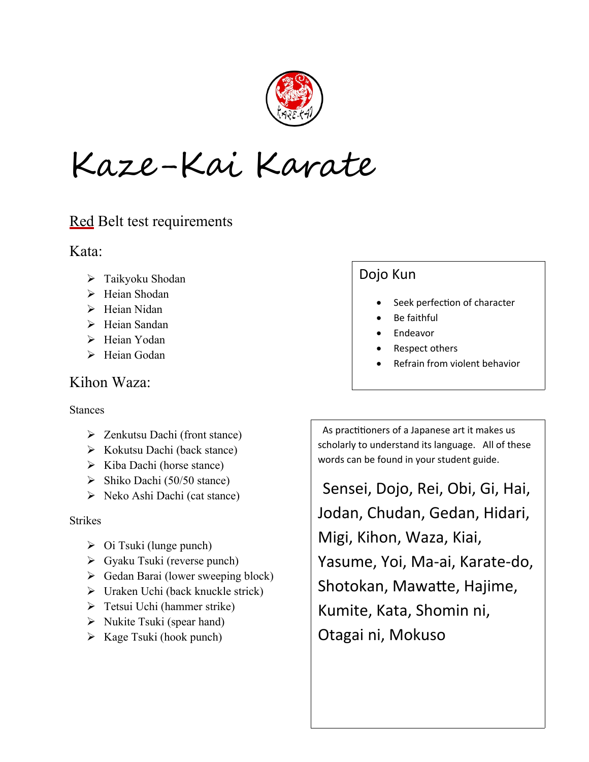

Kaze-Kai Karate

## Red Belt test requirements

Kata:

- > Taikyoku Shodan
- > Heian Shodan
- $\triangleright$  Heian Nidan
- $\triangleright$  Heian Sandan
- > Heian Yodan
- $\triangleright$  Heian Godan

### Kihon Waza:

#### Stances

- Zenkutsu Dachi (front stance)
- $\triangleright$  Kokutsu Dachi (back stance)
- $\triangleright$  Kiba Dachi (horse stance)
- $\triangleright$  Shiko Dachi (50/50 stance)
- $\triangleright$  Neko Ashi Dachi (cat stance)

#### **Strikes**

- $\triangleright$  Oi Tsuki (lunge punch)
- Gyaku Tsuki (reverse punch)
- $\triangleright$  Gedan Barai (lower sweeping block)
- $\triangleright$  Uraken Uchi (back knuckle strick)
- $\triangleright$  Tetsui Uchi (hammer strike)
- $\triangleright$  Nukite Tsuki (spear hand)
- $\triangleright$  Kage Tsuki (hook punch)

# Dojo Kun

- Seek perfection of character
- Be faithful
- Endeavor
- Respect others
- Refrain from violent behavior

 As practitioners of a Japanese art it makes us scholarly to understand its language. All of these words can be found in your student guide.

 Sensei, Dojo, Rei, Obi, Gi, Hai, Jodan, Chudan, Gedan, Hidari, Migi, Kihon, Waza, Kiai, Yasume, Yoi, Ma-ai, Karate-do, Shotokan, Mawatte, Hajime, Kumite, Kata, Shomin ni, Otagai ni, Mokuso